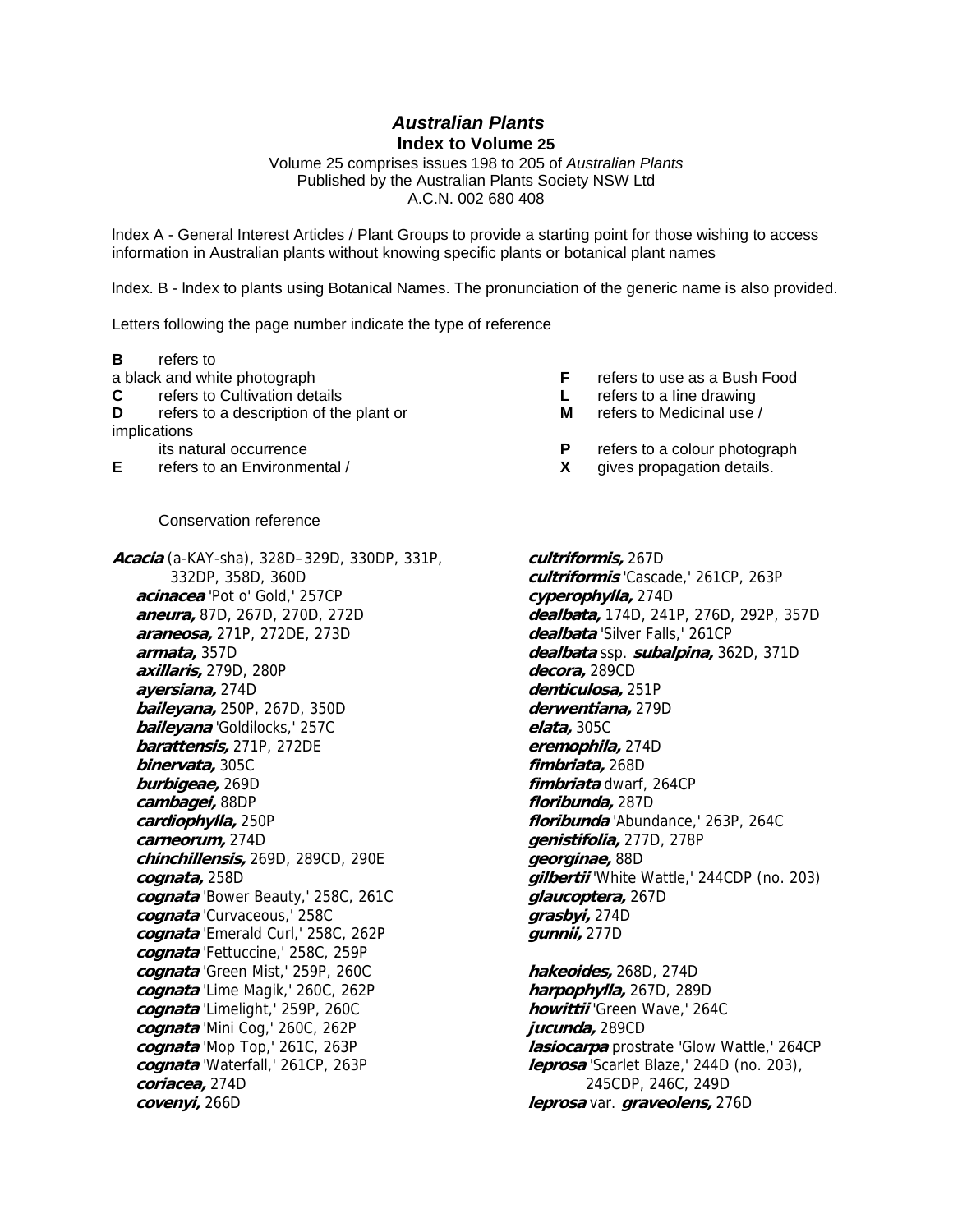*Australian Plants*  **Index to Volume 25** 

Volume 25 comprises issues 198 to 205 of *Australian Plants* Published by the Australian Plants Society NSW Ltd A.C.N. 002 680 408

lndex A - General Interest Articles / Plant Groups to provide a starting point for those wishing to access information in Australian plants without knowing specific plants or botanical plant names

lndex. B - lndex to plants using Botanical Names. The pronunciation of the generic name is also provided.

Letters following the page number indicate the type of reference

**B** refers to

a black and white photograph **F** refers to use as a Bush Food

**C** refers to Cultivation details **L** refers to a Iine drawing

**D refers to a description of the plant or <b>M refers to Medicinal use** /

implications

**E** refers to an Environmental / **X** gives propagation details.

## Conservation reference

**Acacia** (a-KAY-sha), 328D–329D, 330DP, 331P, 332DP, 358D, 360D **acinacea** 'Pot o' Gold,' 257CP **aneura,** 87D, 267D, 270D, 272D **araneosa,** 271P, 272DE, 273D **armata,** 357D **axillaris,** 279D, 280P **ayersiana,** 274D **baileyana,** 250P, 267D, 350D **baileyana** 'Goldilocks,' 257C **barattensis,** 271P, 272DE **binervata,** 305C **burbigeae,** 269D **cambagei,** 88DP **cardiophylla,** 250P **carneorum,** 274D **chinchillensis,** 269D, 289CD, 290E **cognata,** 258D **cognata** 'Bower Beauty,' 258C, 261C **cognata** 'Curvaceous,' 258C **cognata** 'Emerald Curl,' 258C, 262P **cognata** 'Fettuccine,' 258C, 259P **cognata** 'Green Mist,' 259P, 260C **cognata** 'Lime Magik,' 260C, 262P **cognata** 'Limelight,' 259P, 260C **cognata** 'Mini Cog,' 260C, 262P **cognata** 'Mop Top,' 261C, 263P **cognata** 'Waterfall,' 261CP, 263P **coriacea,** 274D **covenyi,** 266D

- 
- 
- 
- its natural occurrence **P** refers to a colour photograph refers to a colour photograph refers to an Environmental *Y* 
	-

**cultriformis,** 267D **cultriformis** 'Cascade,' 261CP, 263P **cyperophylla,** 274D **dealbata,** 174D, 241P, 276D, 292P, 357D **dealbata** 'Silver Falls,' 261CP **dealbata** ssp. **subalpina,** 362D, 371D **decora,** 289CD **denticulosa,** 251P **derwentiana,** 279D **elata,** 305C **eremophila,** 274D **fimbriata,** 268D **fimbriata** dwarf, 264CP **floribunda,** 287D **floribunda** 'Abundance,' 263P, 264C **genistifolia,** 277D, 278P **georginae,** 88D **gilbertii** 'White Wattle,' 244CDP (no. 203) **glaucoptera,** 267D **grasbyi,** 274D **gunnii,** 277D

**hakeoides,** 268D, 274D **harpophylla,** 267D, 289D **howittii** 'Green Wave,' 264C **jucunda,** 289CD **lasiocarpa** prostrate 'Glow Wattle,' 264CP **leprosa** 'Scarlet Blaze,' 244D (no. 203), 245CDP, 246C, 249D **leprosa** var. **graveolens,** 276D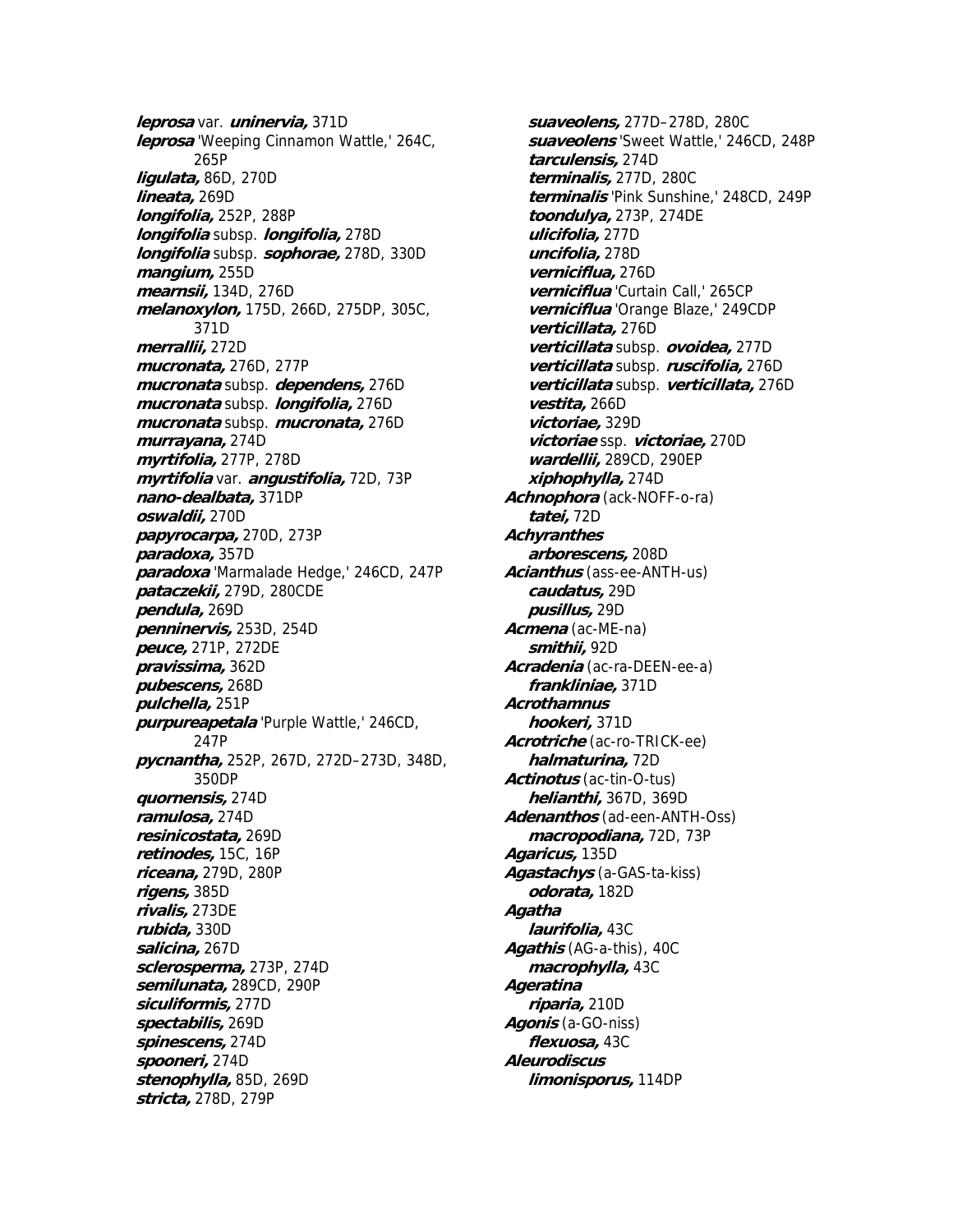**leprosa** var. **uninervia,** 371D **leprosa** 'Weeping Cinnamon Wattle,' 264C, 265P **ligulata,** 86D, 270D **lineata,** 269D **longifolia,** 252P, 288P **longifolia** subsp. **longifolia,** 278D **longifolia** subsp. **sophorae,** 278D, 330D **mangium,** 255D **mearnsii,** 134D, 276D **melanoxylon,** 175D, 266D, 275DP, 305C, 371D **merrallii,** 272D **mucronata,** 276D, 277P **mucronata** subsp. **dependens,** 276D **mucronata** subsp. **longifolia,** 276D **mucronata** subsp. **mucronata,** 276D **murrayana,** 274D **myrtifolia,** 277P, 278D **myrtifolia** var. **angustifolia,** 72D, 73P **nano-dealbata,** 371DP **oswaldii,** 270D **papyrocarpa,** 270D, 273P **paradoxa,** 357D **paradoxa** 'Marmalade Hedge,' 246CD, 247P **pataczekii,** 279D, 280CDE **pendula,** 269D **penninervis,** 253D, 254D **peuce,** 271P, 272DE **pravissima,** 362D **pubescens,** 268D **pulchella,** 251P **purpureapetala** 'Purple Wattle,' 246CD, 247P **pycnantha,** 252P, 267D, 272D–273D, 348D, 350DP **quornensis,** 274D **ramulosa,** 274D **resinicostata,** 269D **retinodes,** 15C, 16P **riceana,** 279D, 280P **rigens,** 385D **rivalis,** 273DE **rubida,** 330D **salicina,** 267D **sclerosperma,** 273P, 274D **semilunata,** 289CD, 290P **siculiformis,** 277D **spectabilis,** 269D **spinescens,** 274D **spooneri,** 274D **stenophylla,** 85D, 269D **stricta,** 278D, 279P

**suaveolens,** 277D–278D, 280C **suaveolens** 'Sweet Wattle,' 246CD, 248P **tarculensis,** 274D **terminalis,** 277D, 280C **terminalis** 'Pink Sunshine,' 248CD, 249P **toondulya,** 273P, 274DE **ulicifolia,** 277D **uncifolia,** 278D **verniciflua,** 276D **verniciflua** 'Curtain Call,' 265CP **verniciflua** 'Orange Blaze,' 249CDP **verticillata,** 276D **verticillata** subsp. **ovoidea,** 277D **verticillata** subsp. **ruscifolia,** 276D **verticillata** subsp. **verticillata,** 276D **vestita,** 266D **victoriae,** 329D **victoriae** ssp. **victoriae,** 270D **wardellii,** 289CD, 290EP **xiphophylla,** 274D **Achnophora** (ack-NOFF-o-ra) **tatei,** 72D **Achyranthes arborescens,** 208D **Acianthus** (ass-ee-ANTH-us) **caudatus,** 29D **pusillus,** 29D **Acmena** (ac-ME-na) **smithii,** 92D **Acradenia** (ac-ra-DEEN-ee-a) **frankliniae,** 371D **Acrothamnus hookeri,** 371D **Acrotriche** (ac-ro-TRICK-ee) **halmaturina,** 72D **Actinotus** (ac-tin-O-tus) **helianthi,** 367D, 369D **Adenanthos** (ad-een-ANTH-Oss) **macropodiana,** 72D, 73P **Agaricus,** 135D **Agastachys** (a-GAS-ta-kiss) **odorata,** 182D **Agatha laurifolia,** 43C **Agathis** (AG-a-this), 40C **macrophylla,** 43C **Ageratina riparia,** 210D **Agonis** (a-GO-niss) **flexuosa,** 43C **Aleurodiscus limonisporus,** 114DP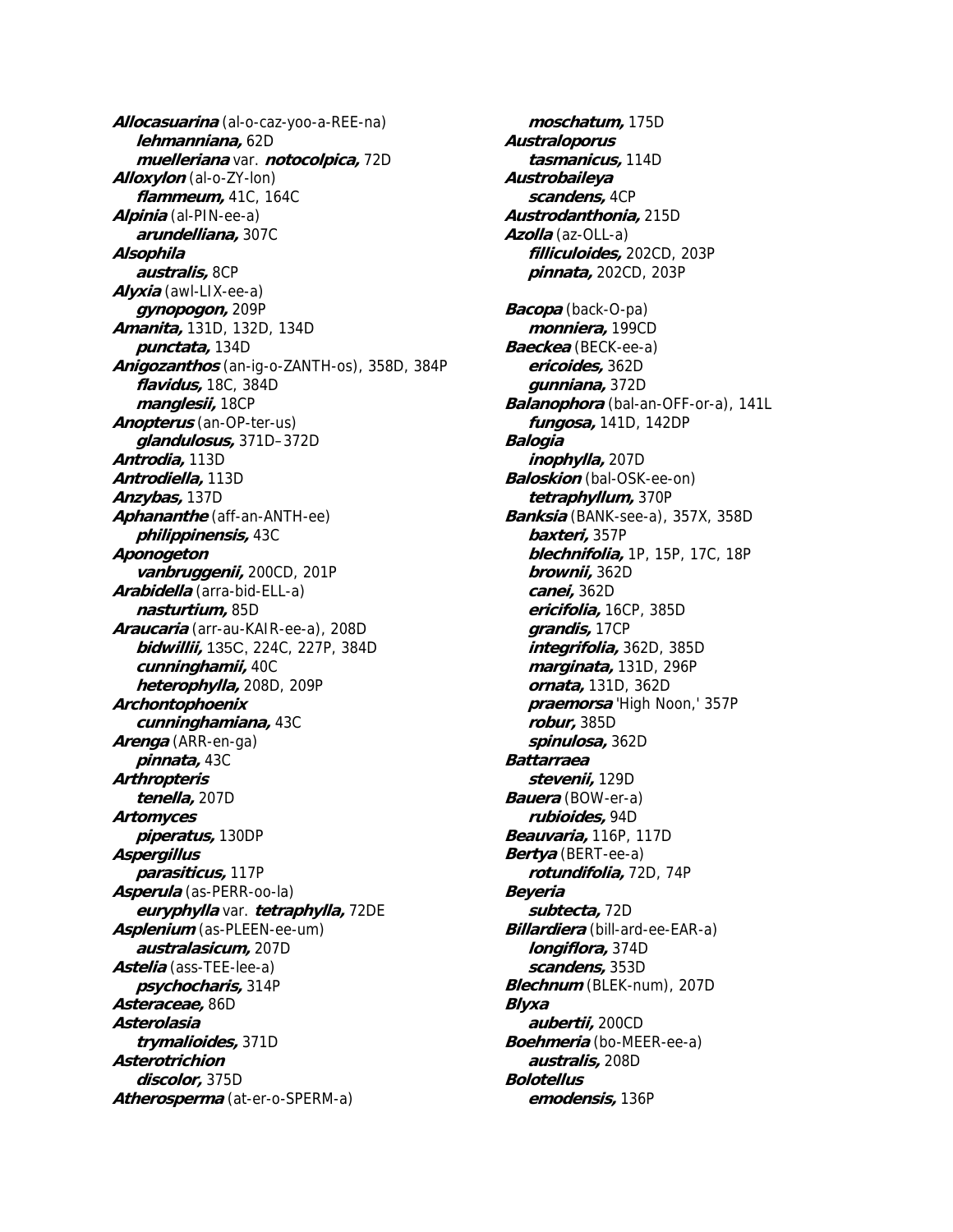**Allocasuarina** (al-o-caz-yoo-a-REE-na) **lehmanniana,** 62D **muelleriana** var. **notocolpica,** 72D **Alloxylon** (al-o-ZY-lon) **flammeum,** 41C, 164C **Alpinia** (al-PIN-ee-a) **arundelliana,** 307C **Alsophila australis,** 8CP **Alyxia** (awl-LIX-ee-a) **gynopogon,** 209P **Amanita,** 131D, 132D, 134D **punctata,** 134D **Anigozanthos** (an-ig-o-ZANTH-os), 358D, 384P **flavidus,** 18C, 384D **manglesii,** 18CP **Anopterus** (an-OP-ter-us) **glandulosus,** 371D–372D **Antrodia,** 113D **Antrodiella,** 113D **Anzybas,** 137D **Aphananthe** (aff-an-ANTH-ee) **philippinensis,** 43C **Aponogeton vanbruggenii,** 200CD, 201P **Arabidella** (arra-bid-ELL-a) **nasturtium,** 85D **Araucaria** (arr-au-KAIR-ee-a), 208D **bidwillii,** 135C, 224C, 227P, 384D **cunninghamii,** 40C **heterophylla,** 208D, 209P **Archontophoenix cunninghamiana,** 43C **Arenga** (ARR-en-ga) **pinnata,** 43C **Arthropteris tenella,** 207D **Artomyces piperatus,** 130DP **Aspergillus parasiticus,** 117P **Asperula** (as-PERR-oo-la) **euryphylla** var. **tetraphylla,** 72DE **Asplenium** (as-PLEEN-ee-um) **australasicum,** 207D **Astelia** (ass-TEE-lee-a) **psychocharis,** 314P **Asteraceae,** 86D **Asterolasia trymalioides,** 371D **Asterotrichion discolor,** 375D **Atherosperma** (at-er-o-SPERM-a)

**moschatum,** 175D **Australoporus tasmanicus,** 114D **Austrobaileya scandens,** 4CP **Austrodanthonia,** 215D **Azolla** (az-OLL-a) **filliculoides,** 202CD, 203P **pinnata,** 202CD, 203P **Bacopa** (back-O-pa) **monniera,** 199CD **Baeckea** (BECK-ee-a) **ericoides,** 362D **gunniana,** 372D **Balanophora** (bal-an-OFF-or-a), 141L **fungosa,** 141D, 142DP **Balogia inophylla,** 207D **Baloskion** (bal-OSK-ee-on) **tetraphyllum,** 370P **Banksia** (BANK-see-a), 357X, 358D **baxteri,** 357P **blechnifolia,** 1P, 15P, 17C, 18P **brownii,** 362D **canei,** 362D **ericifolia,** 16CP, 385D **grandis,** 17CP **integrifolia,** 362D, 385D **marginata,** 131D, 296P **ornata,** 131D, 362D **praemorsa** 'High Noon,' 357P **robur,** 385D **spinulosa,** 362D **Battarraea stevenii,** 129D **Bauera** (BOW-er-a) **rubioides,** 94D **Beauvaria,** 116P, 117D **Bertya** (BERT-ee-a) **rotundifolia,** 72D, 74P **Beyeria subtecta,** 72D **Billardiera** (bill-ard-ee-EAR-a) **longiflora,** 374D **scandens,** 353D **Blechnum** (BLEK-num), 207D **Blyxa aubertii,** 200CD **Boehmeria** (bo-MEER-ee-a) **australis,** 208D **Bolotellus emodensis,** 136P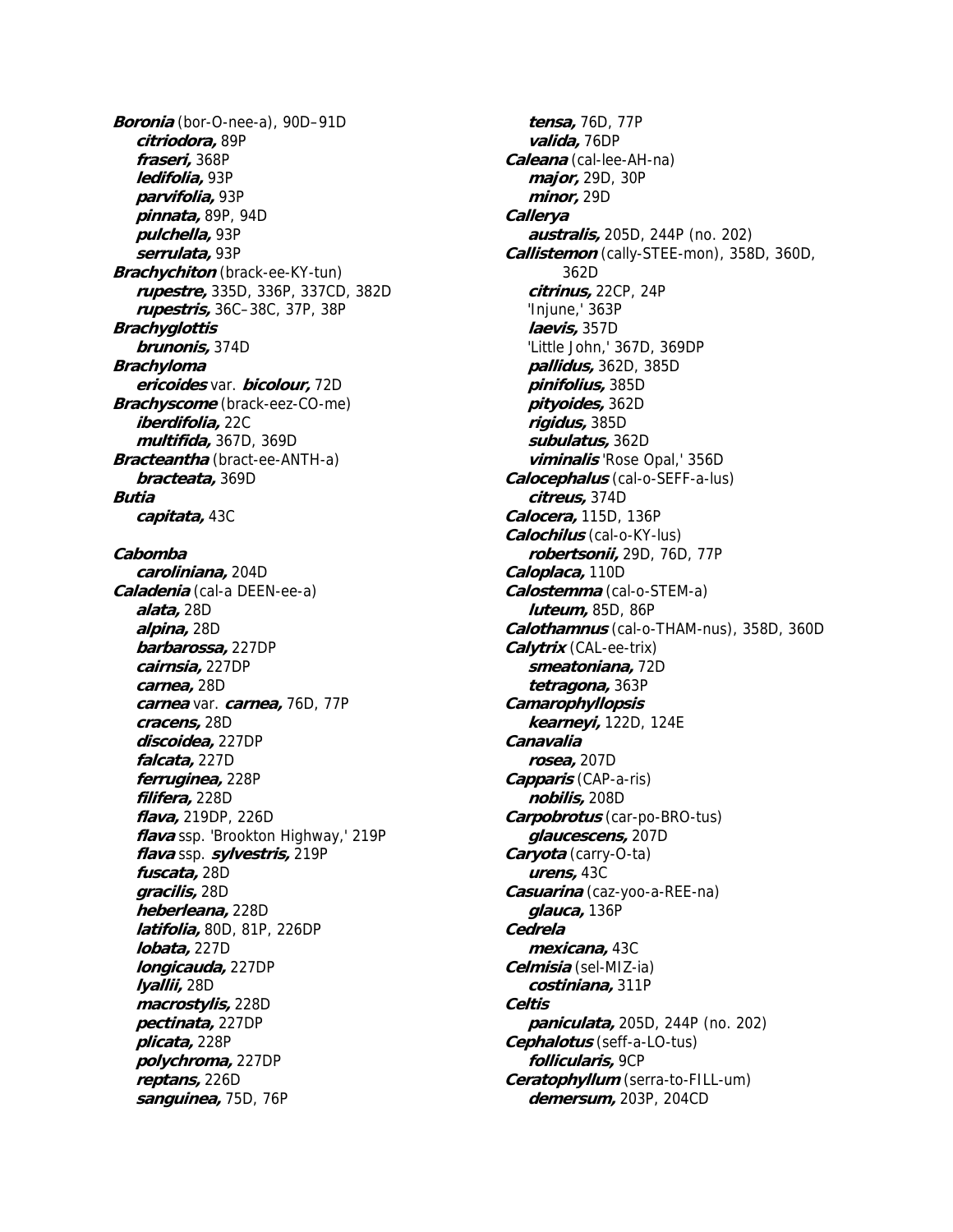**Boronia** (bor-O-nee-a), 90D–91D **citriodora,** 89P **fraseri,** 368P **ledifolia,** 93P **parvifolia,** 93P **pinnata,** 89P, 94D **pulchella,** 93P **serrulata,** 93P **Brachychiton** (brack-ee-KY-tun) **rupestre,** 335D, 336P, 337CD, 382D **rupestris,** 36C–38C, 37P, 38P **Brachyglottis brunonis,** 374D **Brachyloma ericoides** var. **bicolour,** 72D **Brachyscome** (brack-eez-CO-me) **iberdifolia,** 22C **multifida,** 367D, 369D **Bracteantha** (bract-ee-ANTH-a) **bracteata,** 369D **Butia capitata,** 43C **Cabomba caroliniana,** 204D **Caladenia** (cal-a DEEN-ee-a) **alata,** 28D **alpina,** 28D **barbarossa,** 227DP **cairnsia,** 227DP **carnea,** 28D **carnea** var. **carnea,** 76D, 77P **cracens,** 28D **discoidea,** 227DP **falcata,** 227D **ferruginea,** 228P **filifera,** 228D **flava,** 219DP, 226D **flava** ssp. 'Brookton Highway,' 219P **flava** ssp. **sylvestris,** 219P **fuscata,** 28D **gracilis,** 28D **heberleana,** 228D **latifolia,** 80D, 81P, 226DP **lobata,** 227D **longicauda,** 227DP **lyallii,** 28D **macrostylis,** 228D **pectinata,** 227DP **plicata,** 228P **polychroma,** 227DP **reptans,** 226D **sanguinea,** 75D, 76P

**tensa,** 76D, 77P **valida,** 76DP **Caleana** (cal-lee-AH-na) **major,** 29D, 30P **minor,** 29D **Callerya australis,** 205D, 244P (no. 202) **Callistemon** (cally-STEE-mon), 358D, 360D, 362D **citrinus,** 22CP, 24P 'Injune,' 363P **laevis,** 357D 'Little John,' 367D, 369DP **pallidus,** 362D, 385D **pinifolius,** 385D **pityoides,** 362D **rigidus,** 385D **subulatus,** 362D **viminalis** 'Rose Opal,' 356D **Calocephalus** (cal-o-SEFF-a-lus) **citreus,** 374D **Calocera,** 115D, 136P **Calochilus** (cal-o-KY-lus) **robertsonii,** 29D, 76D, 77P **Caloplaca,** 110D **Calostemma** (cal-o-STEM-a) **luteum,** 85D, 86P **Calothamnus** (cal-o-THAM-nus), 358D, 360D **Calytrix** (CAL-ee-trix) **smeatoniana,** 72D **tetragona,** 363P **Camarophyllopsis kearneyi,** 122D, 124E **Canavalia rosea,** 207D **Capparis** (CAP-a-ris) **nobilis,** 208D **Carpobrotus** (car-po-BRO-tus) **glaucescens,** 207D **Caryota** (carry-O-ta) **urens,** 43C **Casuarina** (caz-yoo-a-REE-na) **glauca,** 136P **Cedrela mexicana,** 43C **Celmisia** (sel-MIZ-ia) **costiniana,** 311P **Celtis paniculata,** 205D, 244P (no. 202) **Cephalotus** (seff-a-LO-tus) **follicularis,** 9CP **Ceratophyllum** (serra-to-FILL-um) **demersum,** 203P, 204CD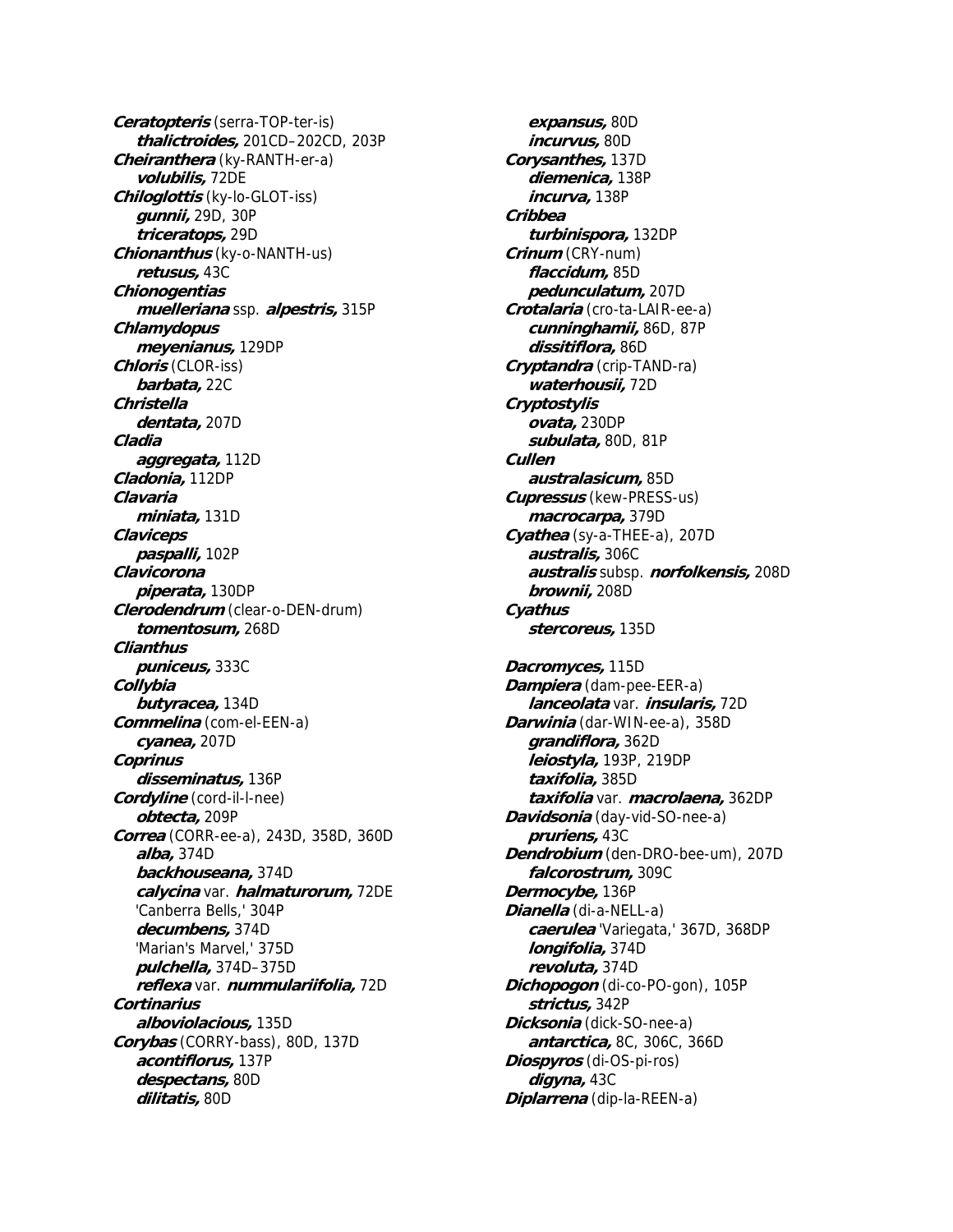**Ceratopteris** (serra-TOP-ter-is) **thalictroides,** 201CD–202CD, 203P **Cheiranthera** (ky-RANTH-er-a) **volubilis,** 72DE **Chiloglottis** (ky-lo-GLOT-iss) **gunnii,** 29D, 30P **triceratops,** 29D **Chionanthus** (ky-o-NANTH-us) **retusus,** 43C **Chionogentias muelleriana** ssp. **alpestris,** 315P **Chlamydopus meyenianus,** 129DP **Chloris** (CLOR-iss) **barbata,** 22C **Christella dentata,** 207D **Cladia aggregata,** 112D **Cladonia,** 112DP **Clavaria miniata,** 131D **Claviceps paspalli,** 102P **Clavicorona piperata,** 130DP **Clerodendrum** (clear-o-DEN-drum) **tomentosum,** 268D **Clianthus puniceus,** 333C **Collybia butyracea,** 134D **Commelina** (com-el-EEN-a) **cyanea,** 207D **Coprinus disseminatus,** 136P **Cordyline** (cord-il-l-nee) **obtecta,** 209P **Correa** (CORR-ee-a), 243D, 358D, 360D **alba,** 374D **backhouseana,** 374D **calycina** var. **halmaturorum,** 72DE 'Canberra Bells,' 304P **decumbens,** 374D 'Marian's Marvel,' 375D **pulchella,** 374D–375D **reflexa** var. **nummulariifolia,** 72D **Cortinarius alboviolacious,** 135D **Corybas** (CORRY-bass), 80D, 137D **acontiflorus,** 137P **despectans,** 80D **dilitatis,** 80D

**expansus,** 80D **incurvus,** 80D **Corysanthes,** 137D **diemenica,** 138P **incurva,** 138P **Cribbea turbinispora,** 132DP **Crinum** (CRY-num) **flaccidum,** 85D **pedunculatum,** 207D **Crotalaria** (cro-ta-LAIR-ee-a) **cunninghamii,** 86D, 87P **dissitiflora,** 86D **Cryptandra** (crip-TAND-ra) **waterhousii,** 72D **Cryptostylis ovata,** 230DP **subulata,** 80D, 81P **Cullen australasicum,** 85D **Cupressus** (kew-PRESS-us) **macrocarpa,** 379D **Cyathea** (sy-a-THEE-a), 207D **australis,** 306C **australis** subsp. **norfolkensis,** 208D **brownii,** 208D **Cyathus stercoreus,** 135D **Dacromyces,** 115D **Dampiera** (dam-pee-EER-a) **lanceolata** var. **insularis,** 72D **Darwinia** (dar-WIN-ee-a), 358D **grandiflora,** 362D **leiostyla,** 193P, 219DP **taxifolia,** 385D **taxifolia** var. **macrolaena,** 362DP **Davidsonia** (day-vid-SO-nee-a) **pruriens,** 43C **Dendrobium** (den-DRO-bee-um), 207D **falcorostrum,** 309C **Dermocybe,** 136P **Dianella** (di-a-NELL-a) **caerulea** 'Variegata,' 367D, 368DP **longifolia,** 374D **revoluta,** 374D **Dichopogon** (di-co-PO-gon), 105P **strictus,** 342P **Dicksonia** (dick-SO-nee-a) **antarctica,** 8C, 306C, 366D **Diospyros** (di-OS-pi-ros) **digyna,** 43C **Diplarrena** (dip-la-REEN-a)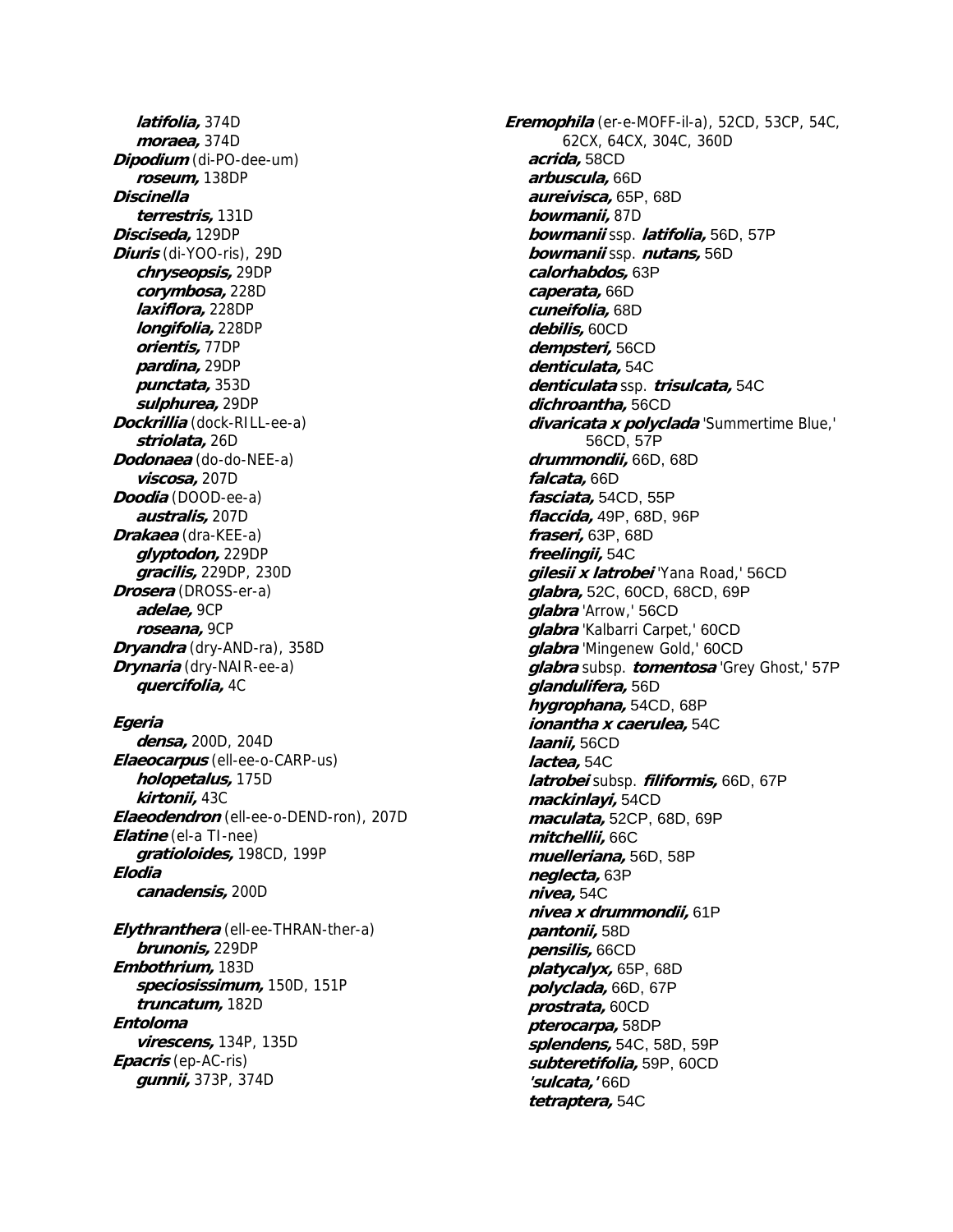**latifolia,** 374D **moraea,** 374D **Dipodium** (di-PO-dee-um) **roseum,** 138DP **Discinella terrestris,** 131D **Disciseda,** 129DP **Diuris** (di-YOO-ris), 29D **chryseopsis,** 29DP **corymbosa,** 228D **laxiflora,** 228DP **longifolia,** 228DP **orientis,** 77DP **pardina,** 29DP **punctata,** 353D **sulphurea,** 29DP **Dockrillia** (dock-RILL-ee-a) **striolata,** 26D **Dodonaea** (do-do-NEE-a) **viscosa,** 207D **Doodia** (DOOD-ee-a) **australis,** 207D **Drakaea** (dra-KEE-a) **glyptodon,** 229DP **gracilis,** 229DP, 230D **Drosera** (DROSS-er-a) **adelae,** 9CP **roseana,** 9CP **Dryandra** (dry-AND-ra), 358D **Drynaria** (dry-NAIR-ee-a) **quercifolia,** 4C

## **Egeria**

**densa,** 200D, 204D **Elaeocarpus** (ell-ee-o-CARP-us) **holopetalus,** 175D **kirtonii,** 43C **Elaeodendron** (ell-ee-o-DEND-ron), 207D **Elatine** (el-a TI-nee) **gratioloides,** 198CD, 199P **Elodia canadensis,** 200D

**Elythranthera** (ell-ee-THRAN-ther-a) **brunonis,** 229DP **Embothrium,** 183D **speciosissimum,** 150D, 151P **truncatum,** 182D **Entoloma virescens,** 134P, 135D **Epacris** (ep-AC-ris) **gunnii,** 373P, 374D

**Eremophila** (er-e-MOFF-il-a), 52CD, 53CP, 54C, 62CX, 64CX, 304C, 360D **acrida,** 58CD **arbuscula,** 66D **aureivisca,** 65P, 68D **bowmanii,** 87D **bowmanii** ssp. **latifolia,** 56D, 57P **bowmanii** ssp. **nutans,** 56D **calorhabdos,** 63P **caperata,** 66D **cuneifolia,** 68D **debilis,** 60CD **dempsteri,** 56CD **denticulata,** 54C **denticulata** ssp. **trisulcata,** 54C **dichroantha,** 56CD **divaricata x polyclada** 'Summertime Blue,' 56CD, 57P **drummondii,** 66D, 68D **falcata,** 66D **fasciata,** 54CD, 55P **flaccida,** 49P, 68D, 96P **fraseri,** 63P, 68D **freelingii,** 54C **gilesii x latrobei** 'Yana Road,' 56CD **glabra,** 52C, 60CD, 68CD, 69P **glabra** 'Arrow,' 56CD **glabra** 'Kalbarri Carpet,' 60CD **glabra** 'Mingenew Gold,' 60CD **glabra** subsp. **tomentosa** 'Grey Ghost,' 57P **glandulifera,** 56D **hygrophana,** 54CD, 68P **ionantha x caerulea,** 54C **laanii,** 56CD **lactea,** 54C **latrobei** subsp. **filiformis,** 66D, 67P **mackinlayi,** 54CD **maculata,** 52CP, 68D, 69P **mitchellii,** 66C **muelleriana,** 56D, 58P **neglecta,** 63P **nivea,** 54C **nivea x drummondii,** 61P **pantonii,** 58D **pensilis,** 66CD **platycalyx,** 65P, 68D **polyclada,** 66D, 67P **prostrata,** 60CD **pterocarpa,** 58DP **splendens,** 54C, 58D, 59P **subteretifolia,** 59P, 60CD **'sulcata,'** 66D **tetraptera,** 54C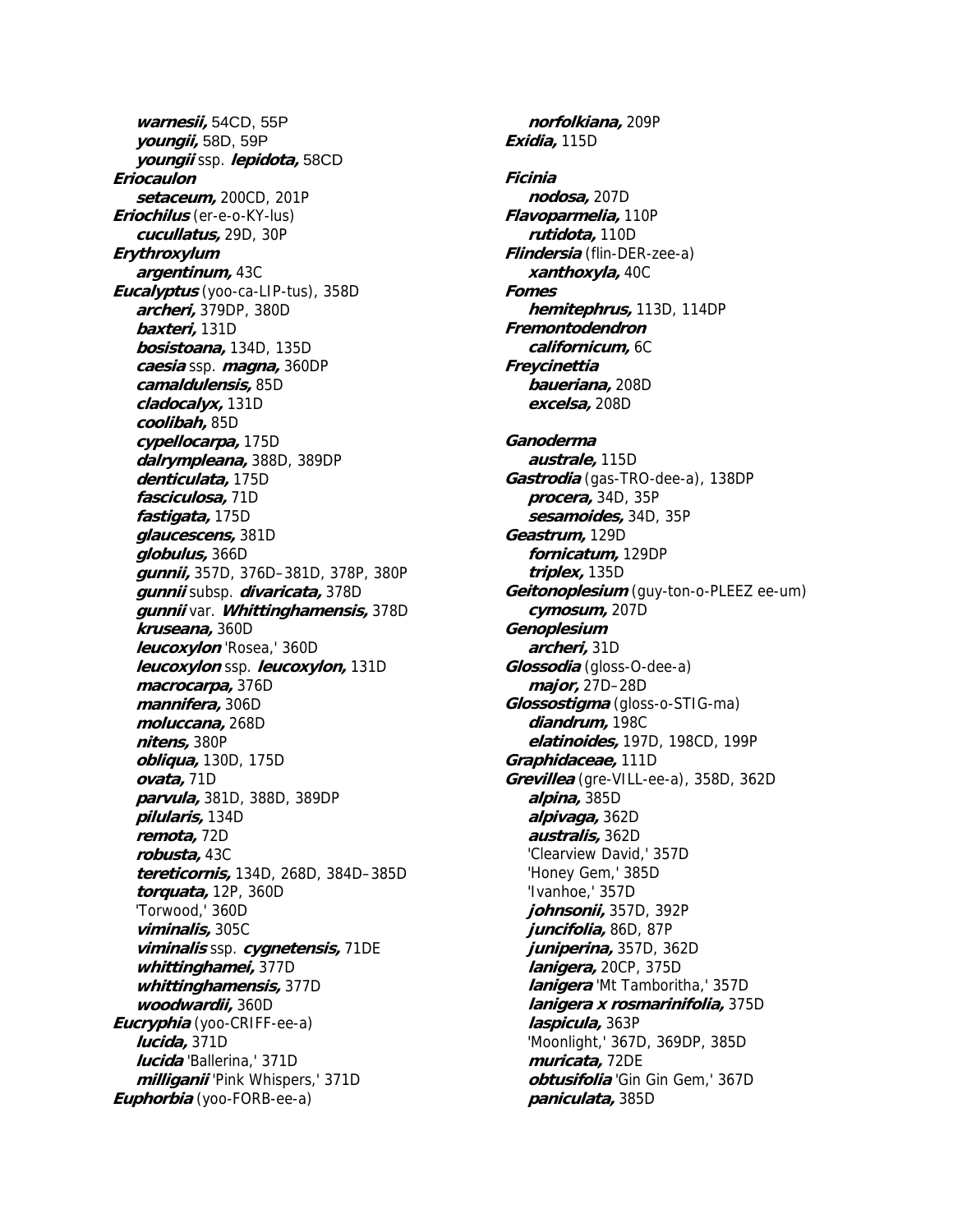**warnesii,** 54CD, 55P **youngii,** 58D, 59P **youngii** ssp. **lepidota,** 58CD **Eriocaulon setaceum,** 200CD, 201P **Eriochilus** (er-e-o-KY-lus) **cucullatus,** 29D, 30P **Erythroxylum argentinum,** 43C **Eucalyptus** (yoo-ca-LIP-tus), 358D **archeri,** 379DP, 380D **baxteri,** 131D **bosistoana,** 134D, 135D **caesia** ssp. **magna,** 360DP **camaldulensis,** 85D **cladocalyx,** 131D **coolibah,** 85D **cypellocarpa,** 175D **dalrympleana,** 388D, 389DP **denticulata,** 175D **fasciculosa,** 71D **fastigata,** 175D **glaucescens,** 381D **globulus,** 366D **gunnii,** 357D, 376D–381D, 378P, 380P **gunnii** subsp. **divaricata,** 378D **gunnii** var. **Whittinghamensis,** 378D **kruseana,** 360D **leucoxylon** 'Rosea,' 360D **leucoxylon** ssp. **leucoxylon,** 131D **macrocarpa,** 376D **mannifera,** 306D **moluccana,** 268D **nitens,** 380P **obliqua,** 130D, 175D **ovata,** 71D **parvula,** 381D, 388D, 389DP **pilularis,** 134D **remota,** 72D **robusta,** 43C **tereticornis,** 134D, 268D, 384D–385D **torquata,** 12P, 360D 'Torwood,' 360D **viminalis,** 305C **viminalis** ssp. **cygnetensis,** 71DE **whittinghamei,** 377D **whittinghamensis,** 377D **woodwardii,** 360D **Eucryphia** (yoo-CRIFF-ee-a) **lucida,** 371D **lucida** 'Ballerina,' 371D **milliganii** 'Pink Whispers,' 371D **Euphorbia** (yoo-FORB-ee-a)

**norfolkiana,** 209P **Exidia,** 115D **Ficinia nodosa,** 207D **Flavoparmelia,** 110P **rutidota,** 110D **Flindersia** (flin-DER-zee-a) **xanthoxyla,** 40C **Fomes hemitephrus,** 113D, 114DP **Fremontodendron californicum,** 6C **Freycinettia baueriana,** 208D **excelsa,** 208D **Ganoderma australe,** 115D **Gastrodia** (gas-TRO-dee-a), 138DP **procera,** 34D, 35P **sesamoides,** 34D, 35P **Geastrum,** 129D **fornicatum,** 129DP **triplex,** 135D **Geitonoplesium** (guy-ton-o-PLEEZ ee-um) **cymosum,** 207D **Genoplesium archeri,** 31D **Glossodia** (gloss-O-dee-a) **major,** 27D–28D **Glossostigma** (gloss-o-STIG-ma) **diandrum,** 198C **elatinoides,** 197D, 198CD, 199P **Graphidaceae,** 111D **Grevillea** (gre-VILL-ee-a), 358D, 362D **alpina,** 385D **alpivaga,** 362D **australis,** 362D 'Clearview David,' 357D 'Honey Gem,' 385D 'Ivanhoe,' 357D **johnsonii,** 357D, 392P **juncifolia,** 86D, 87P **juniperina,** 357D, 362D **lanigera,** 20CP, 375D **lanigera** 'Mt Tamboritha,' 357D **lanigera x rosmarinifolia,** 375D **laspicula,** 363P 'Moonlight,' 367D, 369DP, 385D **muricata,** 72DE **obtusifolia** 'Gin Gin Gem,' 367D **paniculata,** 385D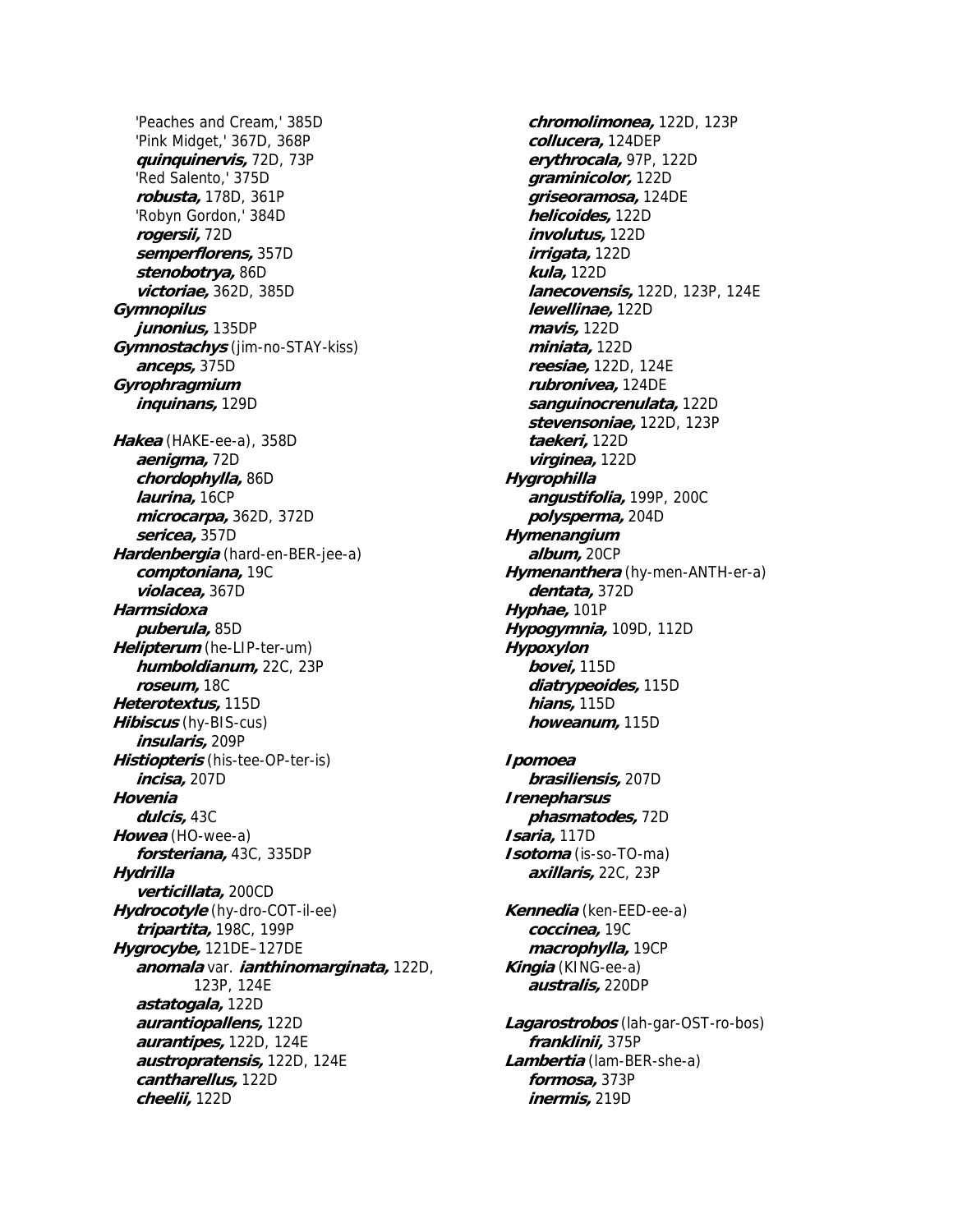'Peaches and Cream,' 385D 'Pink Midget,' 367D, 368P **quinquinervis,** 72D, 73P 'Red Salento,' 375D **robusta,** 178D, 361P 'Robyn Gordon,' 384D **rogersii,** 72D **semperflorens,** 357D **stenobotrya,** 86D **victoriae,** 362D, 385D **Gymnopilus junonius,** 135DP **Gymnostachys** (jim-no-STAY-kiss) **anceps,** 375D **Gyrophragmium inquinans,** 129D **Hakea** (HAKE-ee-a), 358D **aenigma,** 72D **chordophylla,** 86D **laurina,** 16CP **microcarpa,** 362D, 372D **sericea,** 357D **Hardenbergia** (hard-en-BER-jee-a) **comptoniana,** 19C **violacea,** 367D **Harmsidoxa puberula,** 85D **Helipterum** (he-LIP-ter-um) **humboldianum,** 22C, 23P **roseum,** 18C **Heterotextus,** 115D **Hibiscus** (hy-BIS-cus) **insularis,** 209P **Histiopteris** (his-tee-OP-ter-is) **incisa,** 207D **Hovenia dulcis,** 43C **Howea** (HO-wee-a) **forsteriana,** 43C, 335DP **Hydrilla verticillata,** 200CD **Hydrocotyle** (hy-dro-COT-il-ee) **tripartita,** 198C, 199P **Hygrocybe,** 121DE–127DE **anomala** var. **ianthinomarginata,** 122D, 123P, 124E **astatogala,** 122D **aurantiopallens,** 122D **aurantipes,** 122D, 124E **austropratensis,** 122D, 124E **cantharellus,** 122D **cheelii,** 122D

**chromolimonea,** 122D, 123P **collucera,** 124DEP **erythrocala,** 97P, 122D **graminicolor,** 122D **griseoramosa,** 124DE **helicoides,** 122D **involutus,** 122D **irrigata,** 122D **kula,** 122D **lanecovensis,** 122D, 123P, 124E **lewellinae,** 122D **mavis,** 122D **miniata,** 122D **reesiae,** 122D, 124E **rubronivea,** 124DE **sanguinocrenulata,** 122D **stevensoniae,** 122D, 123P **taekeri,** 122D **virginea,** 122D **Hygrophilla angustifolia,** 199P, 200C **polysperma,** 204D **Hymenangium album,** 20CP **Hymenanthera** (hy-men-ANTH-er-a) **dentata,** 372D **Hyphae,** 101P **Hypogymnia,** 109D, 112D **Hypoxylon bovei,** 115D **diatrypeoides,** 115D **hians,** 115D **howeanum,** 115D **Ipomoea brasiliensis,** 207D **Irenepharsus phasmatodes,** 72D **Isaria,** 117D **Isotoma** (is-so-TO-ma) **axillaris,** 22C, 23P **Kennedia** (ken-EED-ee-a) **coccinea,** 19C **macrophylla,** 19CP **Kingia** (KING-ee-a) **australis,** 220DP **Lagarostrobos** (lah-gar-OST-ro-bos) **franklinii,** 375P **Lambertia** (lam-BER-she-a) **formosa,** 373P

**inermis,** 219D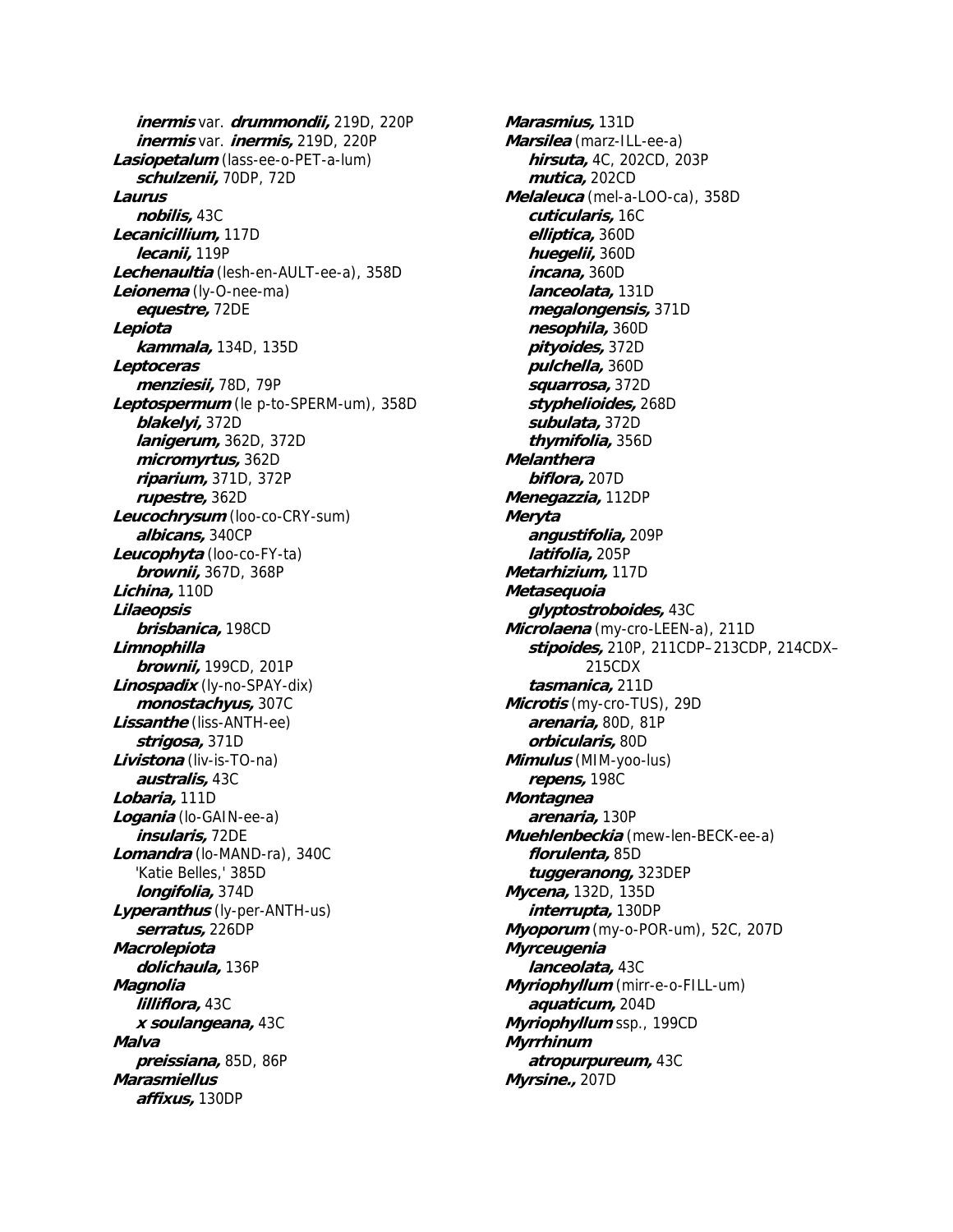**inermis** var. **drummondii,** 219D, 220P **inermis** var. **inermis,** 219D, 220P **Lasiopetalum** (lass-ee-o-PET-a-lum) **schulzenii,** 70DP, 72D **Laurus nobilis,** 43C **Lecanicillium,** 117D **lecanii,** 119P **Lechenaultia** (lesh-en-AULT-ee-a), 358D **Leionema** (ly-O-nee-ma) **equestre,** 72DE **Lepiota kammala,** 134D, 135D **Leptoceras menziesii,** 78D, 79P **Leptospermum** (le p-to-SPERM-um), 358D **blakelyi,** 372D **lanigerum,** 362D, 372D **micromyrtus,** 362D **riparium,** 371D, 372P **rupestre,** 362D **Leucochrysum** (loo-co-CRY-sum) **albicans,** 340CP **Leucophyta** (loo-co-FY-ta) **brownii,** 367D, 368P **Lichina,** 110D **Lilaeopsis brisbanica,** 198CD **Limnophilla brownii,** 199CD, 201P **Linospadix** (ly-no-SPAY-dix) **monostachyus,** 307C **Lissanthe** (liss-ANTH-ee) **strigosa,** 371D **Livistona** (liv-is-TO-na) **australis,** 43C **Lobaria,** 111D **Logania** (lo-GAIN-ee-a) **insularis,** 72DE **Lomandra** (lo-MAND-ra), 340C 'Katie Belles,' 385D **longifolia,** 374D **Lyperanthus** (ly-per-ANTH-us) **serratus,** 226DP **Macrolepiota dolichaula,** 136P **Magnolia lilliflora,** 43C **x soulangeana,** 43C **Malva preissiana,** 85D, 86P **Marasmiellus affixus,** 130DP

**Marasmius,** 131D **Marsilea** (marz-ILL-ee-a) **hirsuta,** 4C, 202CD, 203P **mutica,** 202CD **Melaleuca** (mel-a-LOO-ca), 358D **cuticularis,** 16C **elliptica,** 360D **huegelii,** 360D **incana,** 360D **lanceolata,** 131D **megalongensis,** 371D **nesophila,** 360D **pityoides,** 372D **pulchella,** 360D **squarrosa,** 372D **styphelioides,** 268D **subulata,** 372D **thymifolia,** 356D **Melanthera biflora,** 207D **Menegazzia,** 112DP **Meryta angustifolia,** 209P **latifolia,** 205P **Metarhizium,** 117D **Metasequoia glyptostroboides,** 43C **Microlaena** (my-cro-LEEN-a), 211D **stipoides,** 210P, 211CDP–213CDP, 214CDX– 215CDX **tasmanica,** 211D **Microtis** (my-cro-TUS), 29D **arenaria,** 80D, 81P **orbicularis,** 80D **Mimulus** (MIM-yoo-lus) **repens,** 198C **Montagnea arenaria,** 130P **Muehlenbeckia** (mew-len-BECK-ee-a) **florulenta,** 85D **tuggeranong,** 323DEP **Mycena,** 132D, 135D **interrupta,** 130DP **Myoporum** (my-o-POR-um), 52C, 207D **Myrceugenia lanceolata,** 43C **Myriophyllum** (mirr-e-o-FILL-um) **aquaticum,** 204D **Myriophyllum** ssp., 199CD **Myrrhinum atropurpureum,** 43C **Myrsine.,** 207D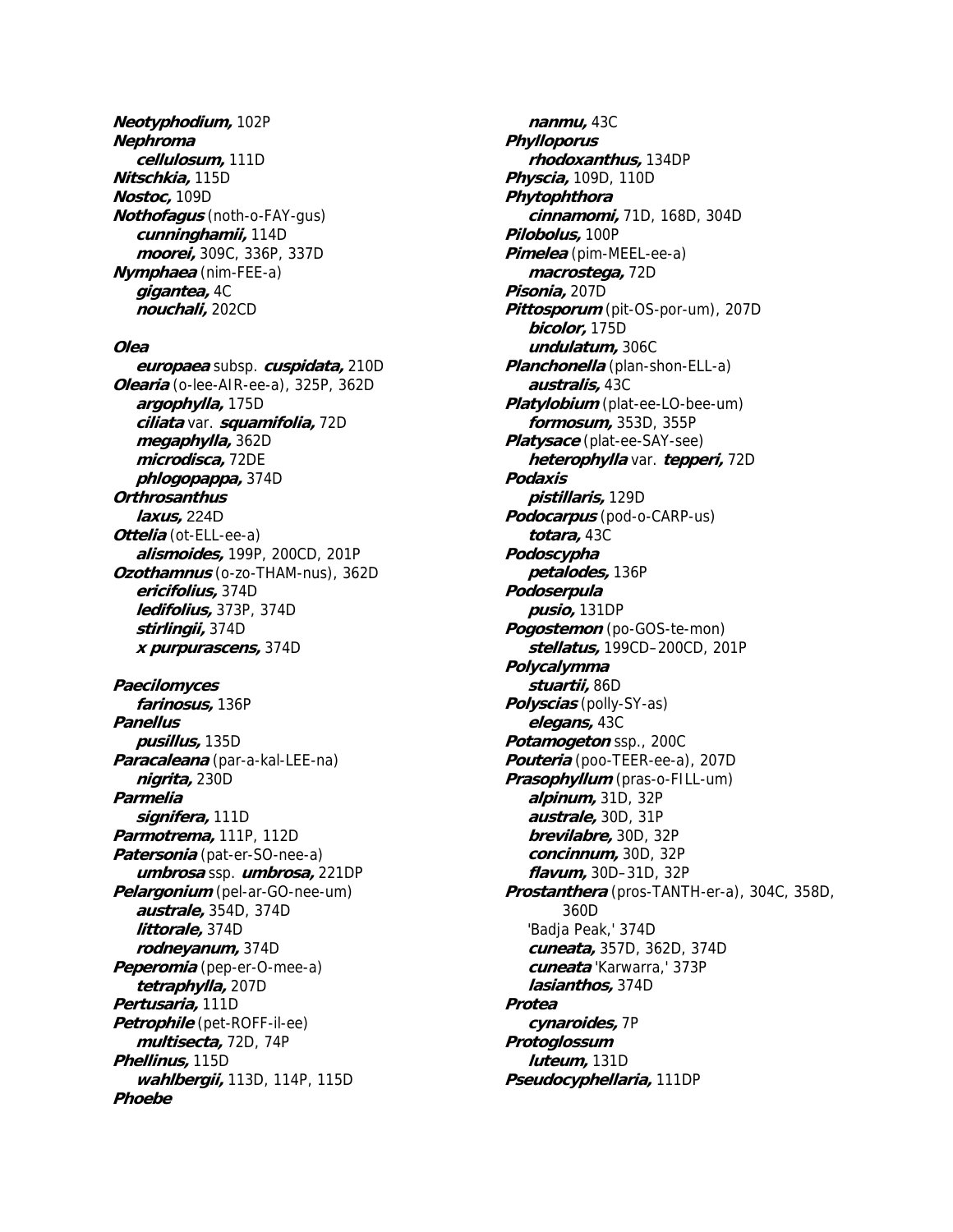**Neotyphodium,** 102P **Nephroma cellulosum,** 111D **Nitschkia,** 115D **Nostoc,** 109D **Nothofagus** (noth-o-FAY-gus) **cunninghamii,** 114D **moorei,** 309C, 336P, 337D **Nymphaea** (nim-FEE-a) **gigantea,** 4C **nouchali,** 202CD

## **Olea**

**europaea** subsp. **cuspidata,** 210D **Olearia** (o-lee-AIR-ee-a), 325P, 362D **argophylla,** 175D **ciliata** var. **squamifolia,** 72D **megaphylla,** 362D **microdisca,** 72DE **phlogopappa,** 374D **Orthrosanthus laxus,** 224D **Ottelia** (ot-ELL-ee-a) **alismoides,** 199P, 200CD, 201P **Ozothamnus** (o-zo-THAM-nus), 362D **ericifolius,** 374D **ledifolius,** 373P, 374D **stirlingii,** 374D **x purpurascens,** 374D **Paecilomyces farinosus,** 136P **Panellus pusillus,** 135D **Paracaleana** (par-a-kal-LEE-na) **nigrita,** 230D **Parmelia signifera,** 111D **Parmotrema,** 111P, 112D **Patersonia** (pat-er-SO-nee-a) **umbrosa** ssp. **umbrosa,** 221DP **Pelargonium** (pel-ar-GO-nee-um) **australe,** 354D, 374D **littorale,** 374D **rodneyanum,** 374D **Peperomia** (pep-er-O-mee-a) **tetraphylla,** 207D **Pertusaria,** 111D **Petrophile** (pet-ROFF-il-ee) **multisecta,** 72D, 74P **Phellinus,** 115D **wahlbergii,** 113D, 114P, 115D **Phoebe**

**nanmu,** 43C **Phylloporus rhodoxanthus,** 134DP **Physcia,** 109D, 110D **Phytophthora cinnamomi,** 71D, 168D, 304D **Pilobolus,** 100P **Pimelea** (pim-MEEL-ee-a) **macrostega,** 72D **Pisonia,** 207D **Pittosporum** (pit-OS-por-um), 207D **bicolor,** 175D **undulatum,** 306C **Planchonella** (plan-shon-ELL-a) **australis,** 43C **Platylobium** (plat-ee-LO-bee-um) **formosum,** 353D, 355P **Platysace** (plat-ee-SAY-see) **heterophylla** var. **tepperi,** 72D **Podaxis pistillaris,** 129D **Podocarpus** (pod-o-CARP-us) **totara,** 43C **Podoscypha petalodes,** 136P **Podoserpula pusio,** 131DP **Pogostemon** (po-GOS-te-mon) **stellatus,** 199CD–200CD, 201P **Polycalymma stuartii,** 86D **Polyscias** (polly-SY-as) **elegans,** 43C **Potamogeton** ssp., 200C **Pouteria** (poo-TEER-ee-a), 207D **Prasophyllum** (pras-o-FILL-um) **alpinum,** 31D, 32P **australe,** 30D, 31P **brevilabre,** 30D, 32P **concinnum,** 30D, 32P **flavum,** 30D–31D, 32P **Prostanthera** (pros-TANTH-er-a), 304C, 358D, 360D 'Badja Peak,' 374D **cuneata,** 357D, 362D, 374D **cuneata** 'Karwarra,' 373P **lasianthos,** 374D **Protea cynaroides,** 7P **Protoglossum luteum,** 131D **Pseudocyphellaria,** 111DP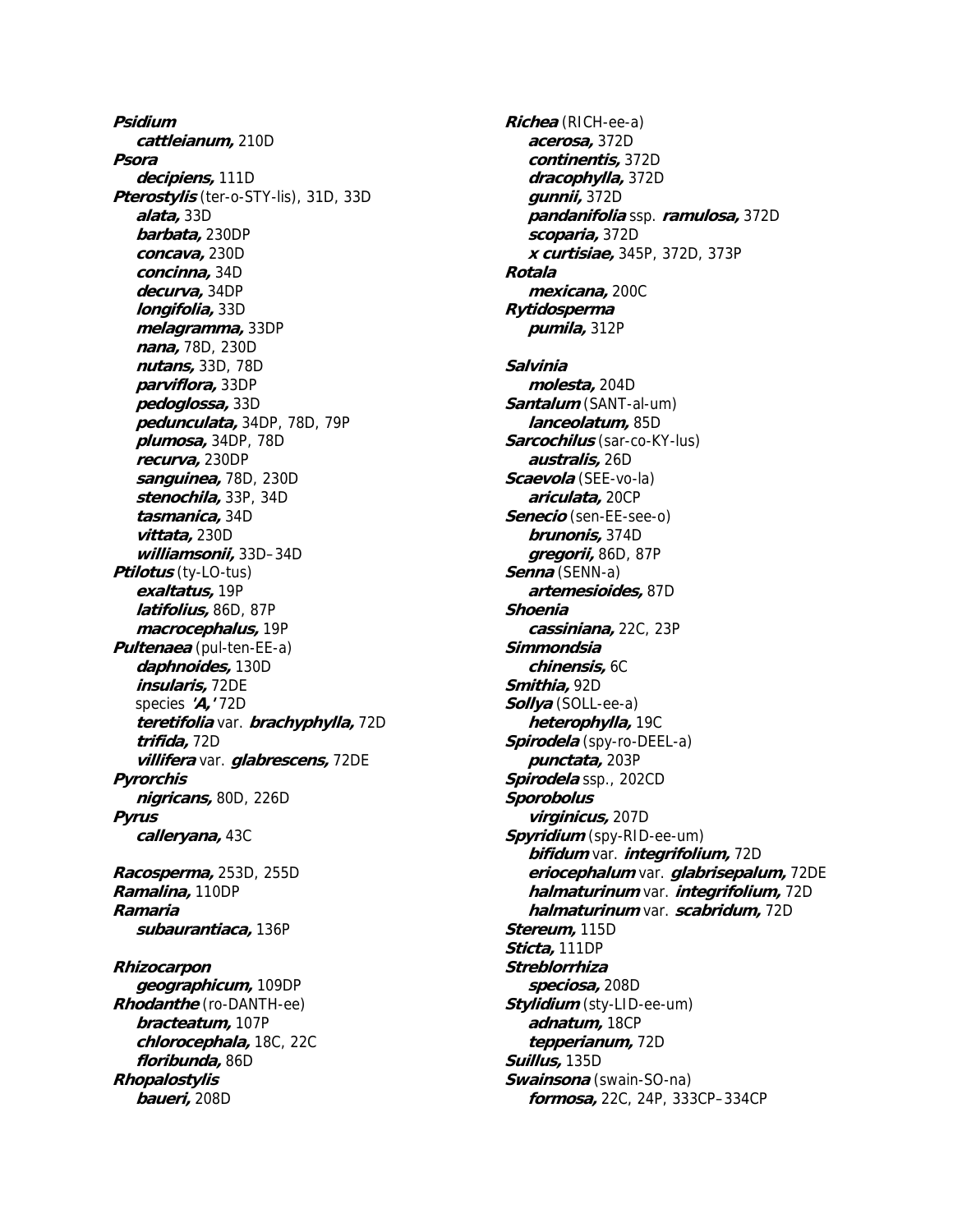**Psidium cattleianum,** 210D **Psora decipiens,** 111D **Pterostylis** (ter-o-STY-lis), 31D, 33D **alata,** 33D **barbata,** 230DP **concava,** 230D **concinna,** 34D **decurva,** 34DP **longifolia,** 33D **melagramma,** 33DP **nana,** 78D, 230D **nutans,** 33D, 78D **parviflora,** 33DP **pedoglossa,** 33D **pedunculata,** 34DP, 78D, 79P **plumosa,** 34DP, 78D **recurva,** 230DP **sanguinea,** 78D, 230D **stenochila,** 33P, 34D **tasmanica,** 34D **vittata,** 230D **williamsonii,** 33D–34D **Ptilotus** (ty-LO-tus) **exaltatus,** 19P **latifolius,** 86D, 87P **macrocephalus,** 19P **Pultenaea** (pul-ten-EE-a) **daphnoides,** 130D **insularis,** 72DE species **'A,'** 72D **teretifolia** var. **brachyphylla,** 72D **trifida,** 72D **villifera** var. **glabrescens,** 72DE **Pyrorchis nigricans,** 80D, 226D **Pyrus calleryana,** 43C **Racosperma,** 253D, 255D **Ramalina,** 110DP **Ramaria subaurantiaca,** 136P **Rhizocarpon geographicum,** 109DP **Rhodanthe** (ro-DANTH-ee) **bracteatum,** 107P **chlorocephala,** 18C, 22C **floribunda,** 86D **Rhopalostylis baueri,** 208D

**Richea** (RICH-ee-a) **acerosa,** 372D **continentis,** 372D **dracophylla,** 372D **gunnii,** 372D **pandanifolia** ssp. **ramulosa,** 372D **scoparia,** 372D **x curtisiae,** 345P, 372D, 373P **Rotala mexicana,** 200C **Rytidosperma pumila,** 312P **Salvinia molesta,** 204D **Santalum** (SANT-al-um) **lanceolatum,** 85D **Sarcochilus** (sar-co-KY-lus) **australis,** 26D **Scaevola** (SEE-vo-la) **ariculata,** 20CP **Senecio** (sen-EE-see-o) **brunonis,** 374D **gregorii,** 86D, 87P **Senna** (SENN-a) **artemesioides,** 87D **Shoenia cassiniana,** 22C, 23P **Simmondsia chinensis,** 6C **Smithia,** 92D **Sollya** (SOLL-ee-a) **heterophylla,** 19C **Spirodela** (spy-ro-DEEL-a) **punctata,** 203P **Spirodela** ssp., 202CD **Sporobolus virginicus,** 207D **Spyridium** (spy-RID-ee-um) **bifidum** var. **integrifolium,** 72D **eriocephalum** var. **glabrisepalum,** 72DE **halmaturinum** var. **integrifolium,** 72D **halmaturinum** var. **scabridum,** 72D **Stereum,** 115D **Sticta,** 111DP **Streblorrhiza speciosa,** 208D **Stylidium** (sty-LID-ee-um) **adnatum,** 18CP **tepperianum,** 72D **Suillus,** 135D **Swainsona** (swain-SO-na) **formosa,** 22C, 24P, 333CP–334CP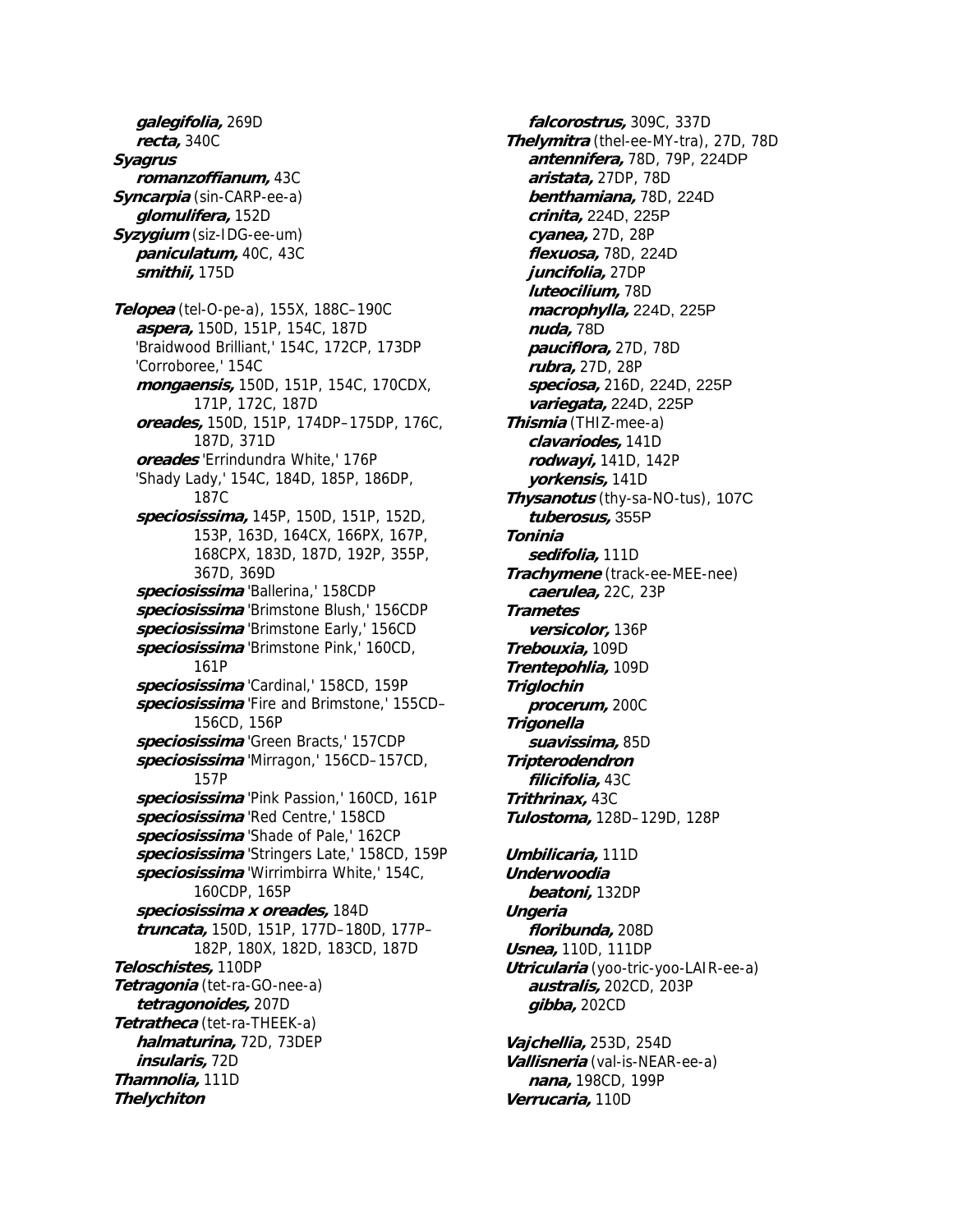**galegifolia,** 269D **recta,** 340C **Syagrus romanzoffianum,** 43C **Syncarpia** (sin-CARP-ee-a) **glomulifera,** 152D **Syzygium** (siz-IDG-ee-um) **paniculatum,** 40C, 43C **smithii,** 175D **Telopea** (tel-O-pe-a), 155X, 188C–190C **aspera,** 150D, 151P, 154C, 187D 'Braidwood Brilliant,' 154C, 172CP, 173DP 'Corroboree,' 154C **mongaensis,** 150D, 151P, 154C, 170CDX, 171P, 172C, 187D **oreades,** 150D, 151P, 174DP–175DP, 176C, 187D, 371D **oreades** 'Errindundra White,' 176P 'Shady Lady,' 154C, 184D, 185P, 186DP, 187C **speciosissima,** 145P, 150D, 151P, 152D, 153P, 163D, 164CX, 166PX, 167P, 168CPX, 183D, 187D, 192P, 355P, 367D, 369D **speciosissima** 'Ballerina,' 158CDP **speciosissima** 'Brimstone Blush,' 156CDP **speciosissima** 'Brimstone Early,' 156CD **speciosissima** 'Brimstone Pink,' 160CD, 161P **speciosissima** 'Cardinal,' 158CD, 159P **speciosissima** 'Fire and Brimstone,' 155CD– 156CD, 156P **speciosissima** 'Green Bracts,' 157CDP **speciosissima** 'Mirragon,' 156CD–157CD, 157P **speciosissima** 'Pink Passion,' 160CD, 161P **speciosissima** 'Red Centre,' 158CD **speciosissima** 'Shade of Pale,' 162CP **speciosissima** 'Stringers Late,' 158CD, 159P **speciosissima** 'Wirrimbirra White,' 154C, 160CDP, 165P **speciosissima x oreades,** 184D **truncata,** 150D, 151P, 177D–180D, 177P– 182P, 180X, 182D, 183CD, 187D **Teloschistes,** 110DP **Tetragonia** (tet-ra-GO-nee-a) **tetragonoides,** 207D **Tetratheca** (tet-ra-THEEK-a) **halmaturina,** 72D, 73DEP **insularis,** 72D **Thamnolia,** 111D **Thelychiton**

**falcorostrus,** 309C, 337D **Thelymitra** (thel-ee-MY-tra), 27D, 78D **antennifera,** 78D, 79P, 224DP **aristata,** 27DP, 78D **benthamiana,** 78D, 224D **crinita,** 224D, 225P **cyanea,** 27D, 28P **flexuosa,** 78D, 224D **juncifolia,** 27DP **luteocilium,** 78D **macrophylla,** 224D, 225P **nuda,** 78D **pauciflora,** 27D, 78D **rubra,** 27D, 28P **speciosa,** 216D, 224D, 225P **variegata,** 224D, 225P **Thismia** (THIZ-mee-a) **clavariodes,** 141D **rodwayi,** 141D, 142P **yorkensis,** 141D **Thysanotus** (thy-sa-NO-tus), 107C **tuberosus,** 355P **Toninia sedifolia,** 111D **Trachymene** (track-ee-MEE-nee) **caerulea,** 22C, 23P **Trametes versicolor,** 136P **Trebouxia,** 109D **Trentepohlia,** 109D **Triglochin procerum,** 200C **Trigonella suavissima,** 85D **Tripterodendron filicifolia,** 43C **Trithrinax,** 43C **Tulostoma,** 128D–129D, 128P **Umbilicaria,** 111D **Underwoodia beatoni,** 132DP **Ungeria floribunda,** 208D **Usnea,** 110D, 111DP

**Utricularia** (yoo-tric-yoo-LAIR-ee-a) **australis,** 202CD, 203P **gibba,** 202CD

**Vajchellia,** 253D, 254D **Vallisneria** (val-is-NEAR-ee-a) **nana,** 198CD, 199P **Verrucaria,** 110D